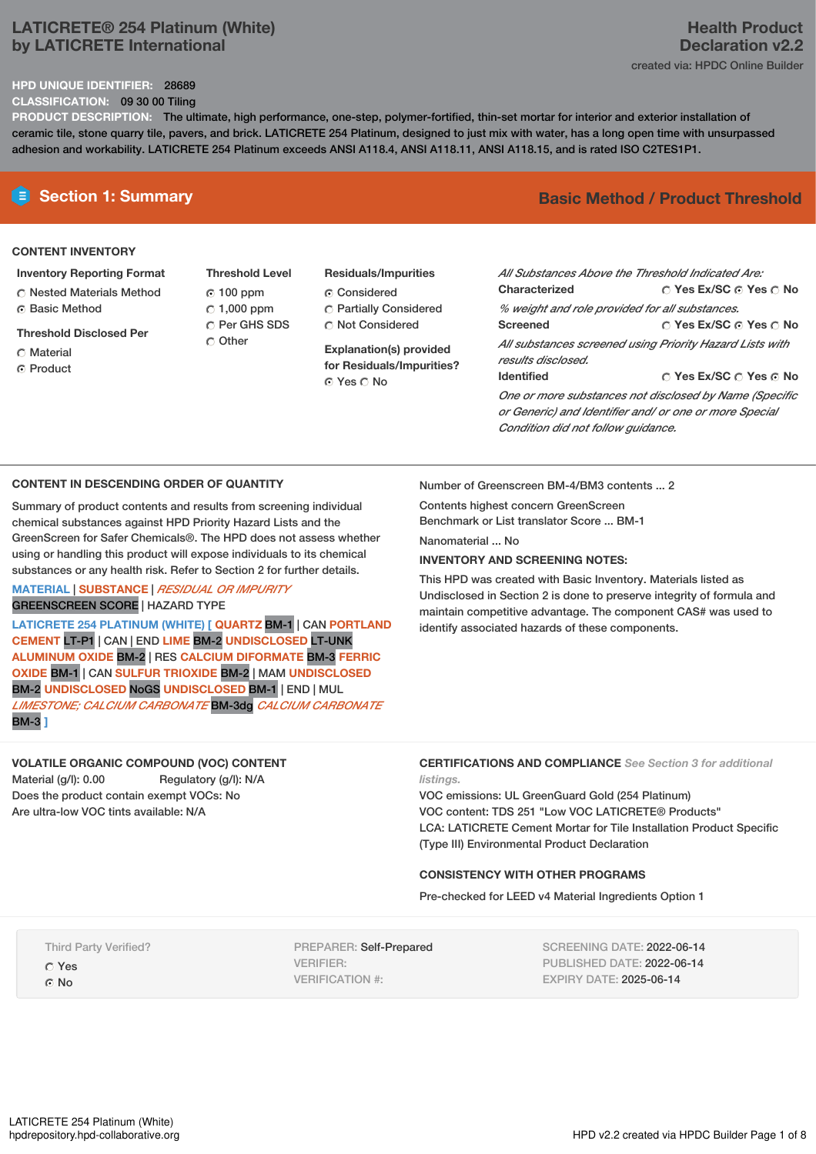## **LATICRETE® 254 Platinum (White) by LATICRETE International**

## **HPD UNIQUE IDENTIFIER:** 28689

**CLASSIFICATION:** 09 30 00 Tiling

**Declaration v2.2** created via: HPDC Online Builder

**PRODUCT DESCRIPTION:** The ultimate, high performance, one-step, polymer-fortified, thin-set mortar for interior and exterior installation of ceramic tile, stone quarry tile, pavers, and brick. LATICRETE 254 Platinum, designed to just mix with water, has a long open time with unsurpassed adhesion and workability. LATICRETE 254 Platinum exceeds ANSI A118.4, ANSI A118.11, ANSI A118.15, and is rated ISO C2TES1P1.

## **CONTENT INVENTORY**

## **Inventory Reporting Format**

- Nested Materials Method Basic Method
- **Threshold Disclosed Per**
- Material
- ⊙ Product
- **Threshold Level** 100 ppm  $C$  1,000 ppm O Per GHS SDS C Other
- **Residuals/Impurities** Considered Partially Considered Not Considered

**Explanation(s) provided for Residuals/Impurities?** ⊙ Yes O No

## **E** Section 1: Summary **Basic Method /** Product Threshold

**Health Product**

| All Substances Above the Threshold Indicated Are:                              |                                       |  |  |  |
|--------------------------------------------------------------------------------|---------------------------------------|--|--|--|
| Characterized                                                                  | $\cap$ Yes Ex/SC $\cap$ Yes $\cap$ No |  |  |  |
| % weight and role provided for all substances.                                 |                                       |  |  |  |
| Screened                                                                       | ○ Yes Ex/SC ⊙ Yes ○ No                |  |  |  |
| All substances screened using Priority Hazard Lists with<br>results disclosed. |                                       |  |  |  |
| <b>Identified</b>                                                              | ∩ Yes Ex/SC ∩ Yes ∩ No                |  |  |  |
| One or more substances not disclosed by Name (Specific                         |                                       |  |  |  |
| or Generic) and Identifier and/ or one or more Special                         |                                       |  |  |  |

**CONTENT IN DESCENDING ORDER OF QUANTITY**

Summary of product contents and results from screening individual chemical substances against HPD Priority Hazard Lists and the GreenScreen for Safer Chemicals®. The HPD does not assess whether using or handling this product will expose individuals to its chemical substances or any health risk. Refer to Section 2 for further details.

## **MATERIAL** | **SUBSTANCE** | *RESIDUAL OR IMPURITY* GREENSCREEN SCORE | HAZARD TYPE

**LATICRETE 254 PLATINUM (WHITE) [ QUARTZ** BM-1 | CAN **PORTLAND CEMENT** LT-P1 | CAN | END **LIME** BM-2 **UNDISCLOSED** LT-UNK **ALUMINUM OXIDE** BM-2 | RES **CALCIUM DIFORMATE** BM-3 **FERRIC OXIDE** BM-1 | CAN **SULFUR TRIOXIDE** BM-2 | MAM **UNDISCLOSED** BM-2 **UNDISCLOSED** NoGS **UNDISCLOSED** BM-1 | END | MUL *LIMESTONE; CALCIUM CARBONATE* BM-3dg *CALCIUM CARBONATE* BM-3 **]**

**VOLATILE ORGANIC COMPOUND (VOC) CONTENT** Material (g/l): 0.00 Regulatory (g/l): N/A Does the product contain exempt VOCs: No Are ultra-low VOC tints available: N/A

Number of Greenscreen BM-4/BM3 contents ... 2

Contents highest concern GreenScreen Benchmark or List translator Score ... BM-1

Nanomaterial No.

## **INVENTORY AND SCREENING NOTES:**

This HPD was created with Basic Inventory. Materials listed as Undisclosed in Section 2 is done to preserve integrity of formula and maintain competitive advantage. The component CAS# was used to identify associated hazards of these components.

*Condition did not follow guidance.*

## **CERTIFICATIONS AND COMPLIANCE** *See Section 3 for additional listings.*

VOC emissions: UL GreenGuard Gold (254 Platinum) VOC content: TDS 251 "Low VOC LATICRETE® Products" LCA: LATICRETE Cement Mortar for Tile Installation Product Specific (Type III) Environmental Product Declaration

## **CONSISTENCY WITH OTHER PROGRAMS**

Pre-checked for LEED v4 Material Ingredients Option 1

Third Party Verified?

Yes G No

PREPARER: Self-Prepared VERIFIER: VERIFICATION #:

SCREENING DATE: 2022-06-14 PUBLISHED DATE: 2022-06-14 EXPIRY DATE: 2025-06-14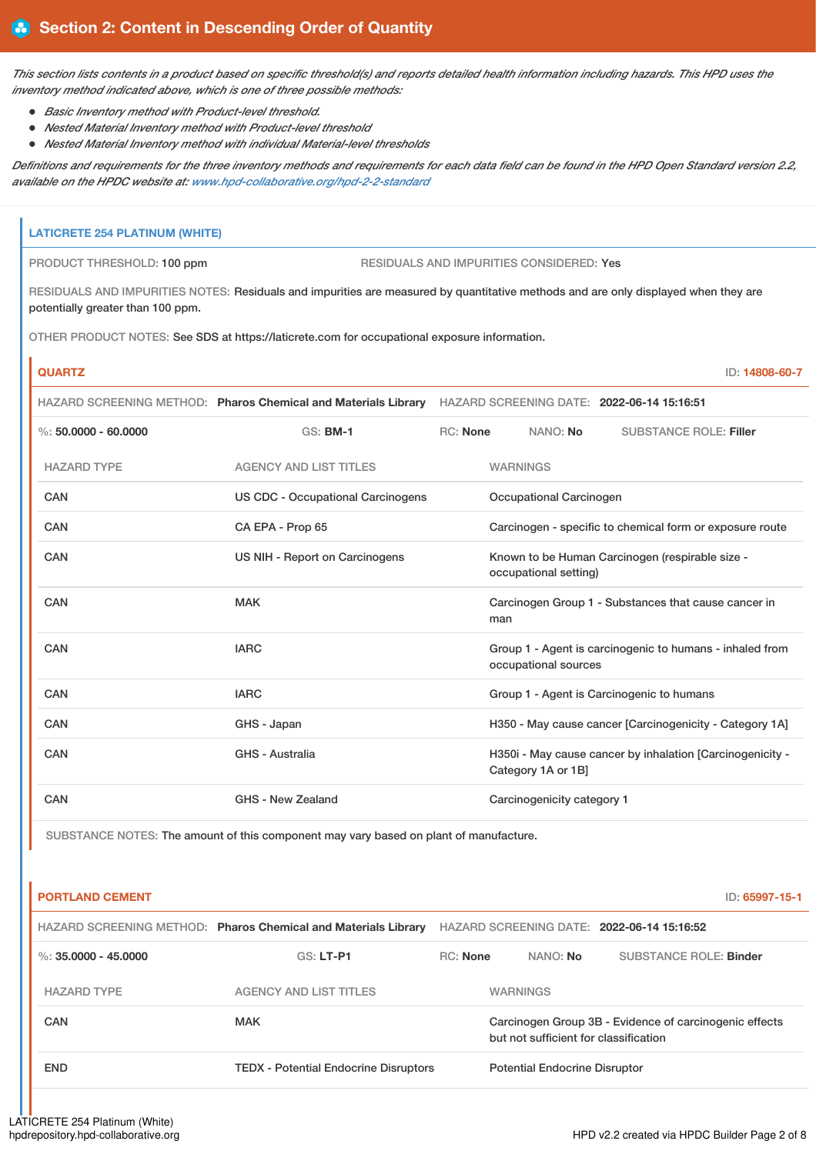This section lists contents in a product based on specific threshold(s) and reports detailed health information including hazards. This HPD uses the *inventory method indicated above, which is one of three possible methods:*

- *Basic Inventory method with Product-level threshold.*
- *Nested Material Inventory method with Product-level threshold*
- *Nested Material Inventory method with individual Material-level thresholds*

Definitions and requirements for the three inventory methods and requirements for each data field can be found in the HPD Open Standard version 2.2, *available on the HPDC website at: [www.hpd-collaborative.org/hpd-2-2-standard](https://www.hpd-collaborative.org/hpd-2-2-standard)*

## **LATICRETE 254 PLATINUM (WHITE)**

PRODUCT THRESHOLD: 100 ppm RESIDUALS AND IMPURITIES CONSIDERED: Yes

RESIDUALS AND IMPURITIES NOTES: Residuals and impurities are measured by quantitative methods and are only displayed when they are potentially greater than 100 ppm.

OTHER PRODUCT NOTES: See SDS at https://laticrete.com for occupational exposure information.

# **QUARTZ** ID: **14808-60-7** HAZARD SCREENING METHOD: **Pharos Chemical and Materials Library** HAZARD SCREENING DATE: **2022-06-14 15:16:51**

|                         |                                          | TIAZAND SUNEENING METHOD. T <b>rigius Ultiniual and Matthals Eibiary</b> Thazand SunEening Date. <b>Zuzz-00-14 13.10.31</b> |  |  |
|-------------------------|------------------------------------------|-----------------------------------------------------------------------------------------------------------------------------|--|--|
| $\%: 50.0000 - 60.0000$ | $GS:$ BM-1                               | <b>RC: None</b><br>NANO: No<br><b>SUBSTANCE ROLE: Filler</b>                                                                |  |  |
| <b>HAZARD TYPE</b>      | <b>AGENCY AND LIST TITLES</b>            | <b>WARNINGS</b>                                                                                                             |  |  |
| <b>CAN</b>              | <b>US CDC - Occupational Carcinogens</b> | Occupational Carcinogen                                                                                                     |  |  |
| <b>CAN</b>              | CA EPA - Prop 65                         | Carcinogen - specific to chemical form or exposure route                                                                    |  |  |
| CAN                     | US NIH - Report on Carcinogens           | Known to be Human Carcinogen (respirable size -<br>occupational setting)                                                    |  |  |
| CAN                     | <b>MAK</b>                               | Carcinogen Group 1 - Substances that cause cancer in<br>man                                                                 |  |  |
| <b>CAN</b>              | <b>IARC</b>                              | Group 1 - Agent is carcinogenic to humans - inhaled from<br>occupational sources                                            |  |  |
| <b>CAN</b>              | <b>IARC</b>                              | Group 1 - Agent is Carcinogenic to humans                                                                                   |  |  |
| <b>CAN</b>              | GHS - Japan                              | H350 - May cause cancer [Carcinogenicity - Category 1A]                                                                     |  |  |
| <b>CAN</b>              | GHS - Australia                          | H350i - May cause cancer by inhalation [Carcinogenicity -<br>Category 1A or 1B]                                             |  |  |
| <b>CAN</b>              | <b>GHS - New Zealand</b>                 | Carcinogenicity category 1                                                                                                  |  |  |

SUBSTANCE NOTES: The amount of this component may vary based on plant of manufacture.

| <b>PORTLAND CEMENT</b> |                                                                |                 |                                       | ID: 65997-15-1                                         |
|------------------------|----------------------------------------------------------------|-----------------|---------------------------------------|--------------------------------------------------------|
|                        | HAZARD SCREENING METHOD: Pharos Chemical and Materials Library |                 |                                       | HAZARD SCREENING DATE: 2022-06-14 15:16:52             |
| %: $35.0000 - 45.0000$ | <b>GS: LT-P1</b>                                               | <b>RC: None</b> | NANO: No                              | <b>SUBSTANCE ROLE: Binder</b>                          |
| <b>HAZARD TYPE</b>     | <b>AGENCY AND LIST TITLES</b>                                  |                 | <b>WARNINGS</b>                       |                                                        |
| CAN                    | <b>MAK</b>                                                     |                 | but not sufficient for classification | Carcinogen Group 3B - Evidence of carcinogenic effects |
| <b>END</b>             | <b>TEDX - Potential Endocrine Disruptors</b>                   |                 | <b>Potential Endocrine Disruptor</b>  |                                                        |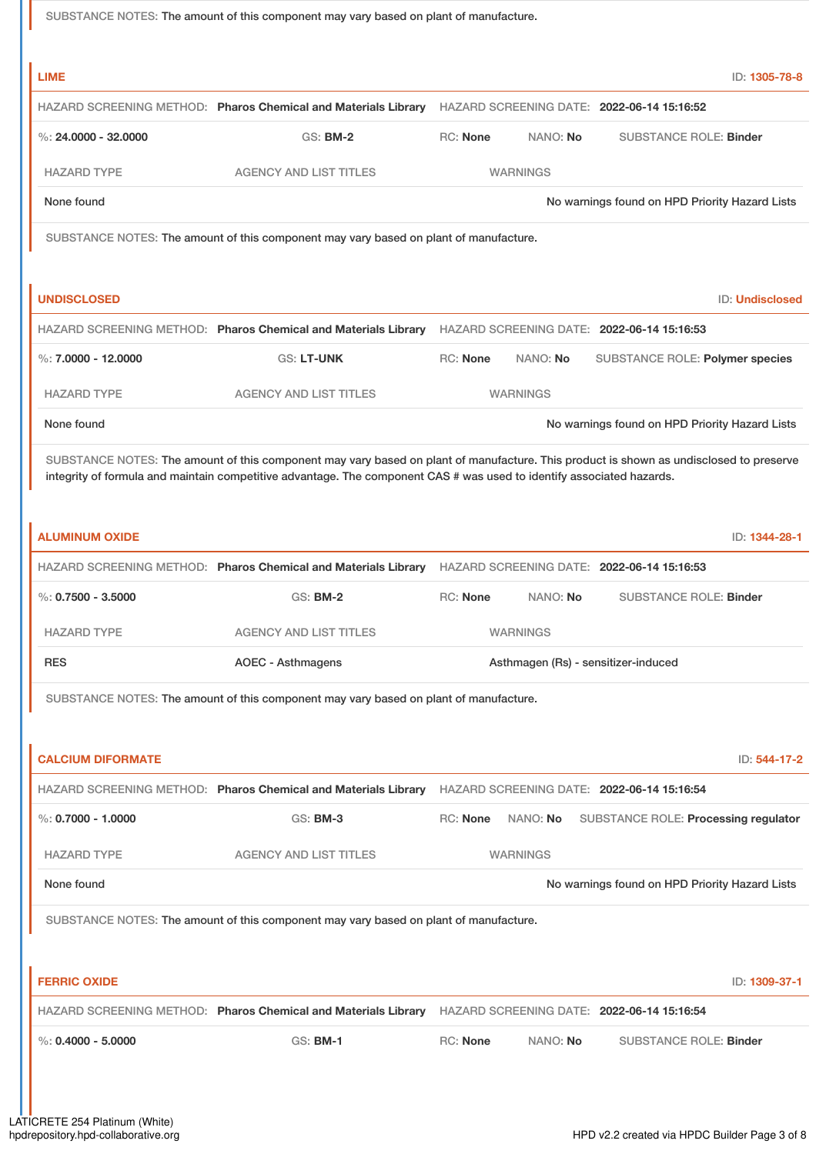SUBSTANCE NOTES: The amount of this component may vary based on plant of manufacture.

| <b>LIME</b>              |                                                                                                                                        |                      |          |                                                | ID: 1305-78-8          |
|--------------------------|----------------------------------------------------------------------------------------------------------------------------------------|----------------------|----------|------------------------------------------------|------------------------|
|                          | HAZARD SCREENING METHOD: Pharos Chemical and Materials Library                                                                         |                      |          | HAZARD SCREENING DATE: 2022-06-14 15:16:52     |                        |
| %: $24.0000 - 32.0000$   | <b>GS: BM-2</b>                                                                                                                        | <b>RC: None</b>      | NANO: No | <b>SUBSTANCE ROLE: Binder</b>                  |                        |
| <b>HAZARD TYPE</b>       | <b>AGENCY AND LIST TITLES</b>                                                                                                          | <b>WARNINGS</b>      |          |                                                |                        |
| None found               |                                                                                                                                        |                      |          | No warnings found on HPD Priority Hazard Lists |                        |
|                          | SUBSTANCE NOTES: The amount of this component may vary based on plant of manufacture.                                                  |                      |          |                                                |                        |
|                          |                                                                                                                                        |                      |          |                                                |                        |
| <b>UNDISCLOSED</b>       |                                                                                                                                        |                      |          |                                                | <b>ID: Undisclosed</b> |
|                          | HAZARD SCREENING METHOD: Pharos Chemical and Materials Library HAZARD SCREENING DATE: 2022-06-14 15:16:53                              |                      |          |                                                |                        |
| %: $7.0000 - 12.0000$    | GS: LT-UNK                                                                                                                             | <b>RC: None</b>      | NANO: No | SUBSTANCE ROLE: Polymer species                |                        |
| <b>HAZARD TYPE</b>       | <b>AGENCY AND LIST TITLES</b>                                                                                                          | <b>WARNINGS</b>      |          |                                                |                        |
| None found               |                                                                                                                                        |                      |          | No warnings found on HPD Priority Hazard Lists |                        |
|                          | SUBSTANCE NOTES: The amount of this component may vary based on plant of manufacture. This product is shown as undisclosed to preserve |                      |          |                                                |                        |
|                          | integrity of formula and maintain competitive advantage. The component CAS # was used to identify associated hazards.                  |                      |          |                                                |                        |
| <b>ALUMINUM OXIDE</b>    |                                                                                                                                        |                      |          |                                                | ID: 1344-28-1          |
|                          | HAZARD SCREENING METHOD: Pharos Chemical and Materials Library                                                                         |                      |          | HAZARD SCREENING DATE: 2022-06-14 15:16:53     |                        |
| %: $0.7500 - 3.5000$     | <b>GS: BM-2</b>                                                                                                                        | RC: None             | NANO: No | <b>SUBSTANCE ROLE: Binder</b>                  |                        |
| <b>HAZARD TYPE</b>       | <b>AGENCY AND LIST TITLES</b>                                                                                                          | <b>WARNINGS</b>      |          |                                                |                        |
| <b>RES</b>               | <b>AOEC - Asthmagens</b>                                                                                                               |                      |          | Asthmagen (Rs) - sensitizer-induced            |                        |
|                          | SUBSTANCE NOTES: The amount of this component may vary based on plant of manufacture.                                                  |                      |          |                                                |                        |
|                          |                                                                                                                                        |                      |          |                                                |                        |
| <b>CALCIUM DIFORMATE</b> |                                                                                                                                        |                      |          |                                                | ID: 544-17-2           |
|                          |                                                                                                                                        |                      |          |                                                |                        |
|                          | HAZARD SCREENING METHOD: Pharos Chemical and Materials Library HAZARD SCREENING DATE: 2022-06-14 15:16:54                              |                      |          |                                                |                        |
| $\%$ : 0.7000 - 1.0000   | <b>GS: BM-3</b>                                                                                                                        | RC: None<br>NANO: No |          | SUBSTANCE ROLE: Processing regulator           |                        |
| <b>HAZARD TYPE</b>       | <b>AGENCY AND LIST TITLES</b>                                                                                                          | <b>WARNINGS</b>      |          |                                                |                        |
| None found               |                                                                                                                                        |                      |          | No warnings found on HPD Priority Hazard Lists |                        |
|                          |                                                                                                                                        |                      |          |                                                |                        |
|                          | SUBSTANCE NOTES: The amount of this component may vary based on plant of manufacture.                                                  |                      |          |                                                |                        |
| <b>FERRIC OXIDE</b>      |                                                                                                                                        |                      |          |                                                | ID: 1309-37-1          |
|                          | HAZARD SCREENING METHOD: Pharos Chemical and Materials Library HAZARD SCREENING DATE: 2022-06-14 15:16:54                              |                      |          |                                                |                        |
| $\%$ : 0.4000 - 5.0000   | <b>GS: BM-1</b>                                                                                                                        | RC: None             | NANO: No | <b>SUBSTANCE ROLE: Binder</b>                  |                        |
|                          |                                                                                                                                        |                      |          |                                                |                        |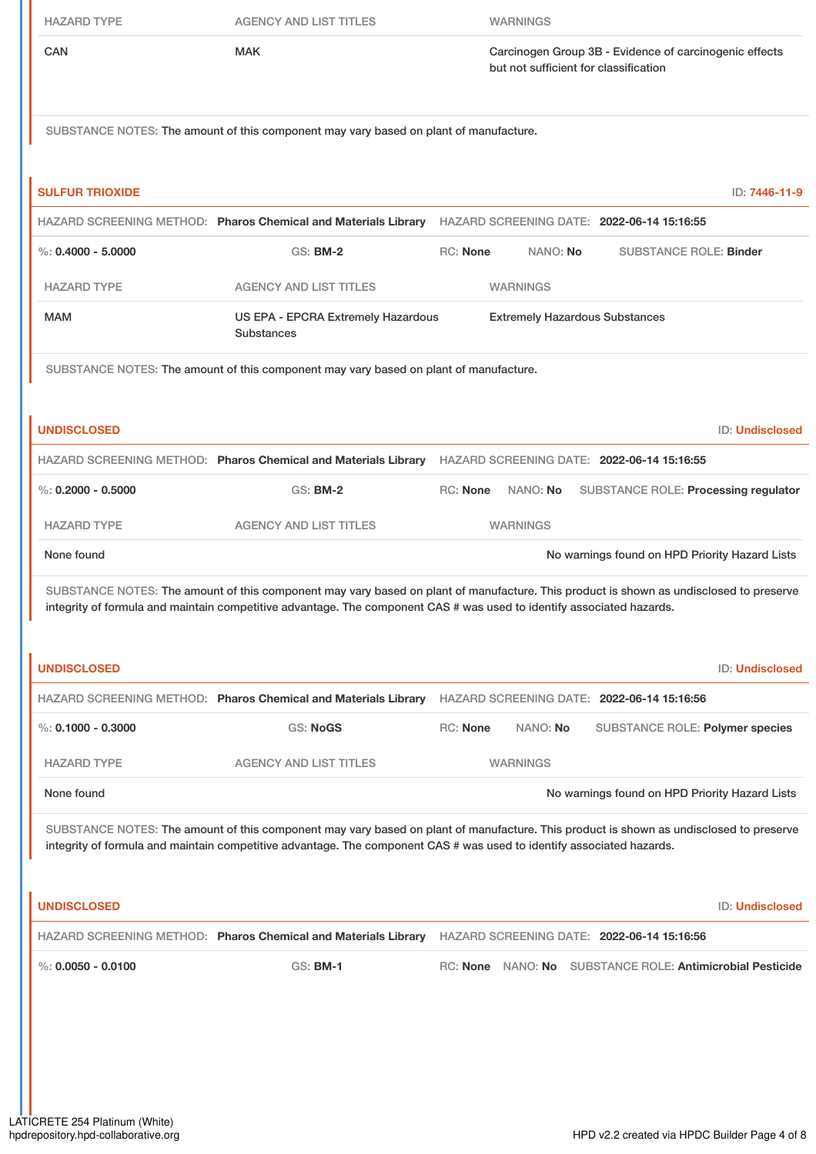| <b>HAZARD TYPE</b>     | <b>AGENCY AND LIST TITLES</b>                                                         | <b>WARNINGS</b>                                                                                                                                                                                                                                                 |  |
|------------------------|---------------------------------------------------------------------------------------|-----------------------------------------------------------------------------------------------------------------------------------------------------------------------------------------------------------------------------------------------------------------|--|
| <b>CAN</b>             | <b>MAK</b>                                                                            | Carcinogen Group 3B - Evidence of carcinogenic effects<br>but not sufficient for classification                                                                                                                                                                 |  |
|                        | SUBSTANCE NOTES: The amount of this component may vary based on plant of manufacture. |                                                                                                                                                                                                                                                                 |  |
| <b>SULFUR TRIOXIDE</b> |                                                                                       | ID: 7446-11-9                                                                                                                                                                                                                                                   |  |
|                        |                                                                                       | HAZARD SCREENING METHOD: Pharos Chemical and Materials Library HAZARD SCREENING DATE: 2022-06-14 15:16:55                                                                                                                                                       |  |
| %: $0.4000 - 5.0000$   | <b>GS: BM-2</b>                                                                       | <b>RC: None</b><br>NANO: No<br><b>SUBSTANCE ROLE: Binder</b>                                                                                                                                                                                                    |  |
| <b>HAZARD TYPE</b>     | <b>AGENCY AND LIST TITLES</b>                                                         | <b>WARNINGS</b>                                                                                                                                                                                                                                                 |  |
| <b>MAM</b>             | US EPA - EPCRA Extremely Hazardous<br><b>Substances</b>                               | <b>Extremely Hazardous Substances</b>                                                                                                                                                                                                                           |  |
|                        | SUBSTANCE NOTES: The amount of this component may vary based on plant of manufacture. |                                                                                                                                                                                                                                                                 |  |
| <b>UNDISCLOSED</b>     |                                                                                       | ID: Undisclosed                                                                                                                                                                                                                                                 |  |
|                        |                                                                                       | HAZARD SCREENING METHOD: Pharos Chemical and Materials Library HAZARD SCREENING DATE: 2022-06-14 15:16:55                                                                                                                                                       |  |
| %: $0.2000 - 0.5000$   | <b>GS: BM-2</b>                                                                       | RC: None<br>NANO: No<br>SUBSTANCE ROLE: Processing regulator                                                                                                                                                                                                    |  |
| <b>HAZARD TYPE</b>     | <b>AGENCY AND LIST TITLES</b>                                                         | <b>WARNINGS</b>                                                                                                                                                                                                                                                 |  |
| None found             |                                                                                       | No warnings found on HPD Priority Hazard Lists                                                                                                                                                                                                                  |  |
|                        |                                                                                       | SUBSTANCE NOTES: The amount of this component may vary based on plant of manufacture. This product is shown as undisclosed to preserve<br>integrity of formula and maintain competitive advantage. The component CAS # was used to identify associated hazards. |  |
| <b>UNDISCLOSED</b>     |                                                                                       | ID: Undisclosed                                                                                                                                                                                                                                                 |  |
|                        | HAZARD SCREENING METHOD: Pharos Chemical and Materials Library                        | HAZARD SCREENING DATE: 2022-06-14 15:16:56                                                                                                                                                                                                                      |  |
| %: $0.1000 - 0.3000$   | <b>GS: NoGS</b>                                                                       | RC: None<br>NANO: No<br>SUBSTANCE ROLE: Polymer species                                                                                                                                                                                                         |  |
| <b>HAZARD TYPE</b>     | <b>AGENCY AND LIST TITLES</b>                                                         | <b>WARNINGS</b>                                                                                                                                                                                                                                                 |  |
| None found             |                                                                                       | No warnings found on HPD Priority Hazard Lists                                                                                                                                                                                                                  |  |
|                        |                                                                                       | SUBSTANCE NOTES: The amount of this component may vary based on plant of manufacture. This product is shown as undisclosed to preserve<br>integrity of formula and maintain competitive advantage. The component CAS # was used to identify associated hazards. |  |
| <b>UNDISCLOSED</b>     |                                                                                       | <b>ID: Undisclosed</b>                                                                                                                                                                                                                                          |  |
|                        | HAZARD SCREENING METHOD: Pharos Chemical and Materials Library                        | HAZARD SCREENING DATE: 2022-06-14 15:16:56                                                                                                                                                                                                                      |  |
| %: $0.0050 - 0.0100$   | GS: <b>BM-1</b>                                                                       | RC: None NANO: No SUBSTANCE ROLE: Antimicrobial Pesticide                                                                                                                                                                                                       |  |
|                        |                                                                                       |                                                                                                                                                                                                                                                                 |  |
|                        |                                                                                       |                                                                                                                                                                                                                                                                 |  |
|                        |                                                                                       |                                                                                                                                                                                                                                                                 |  |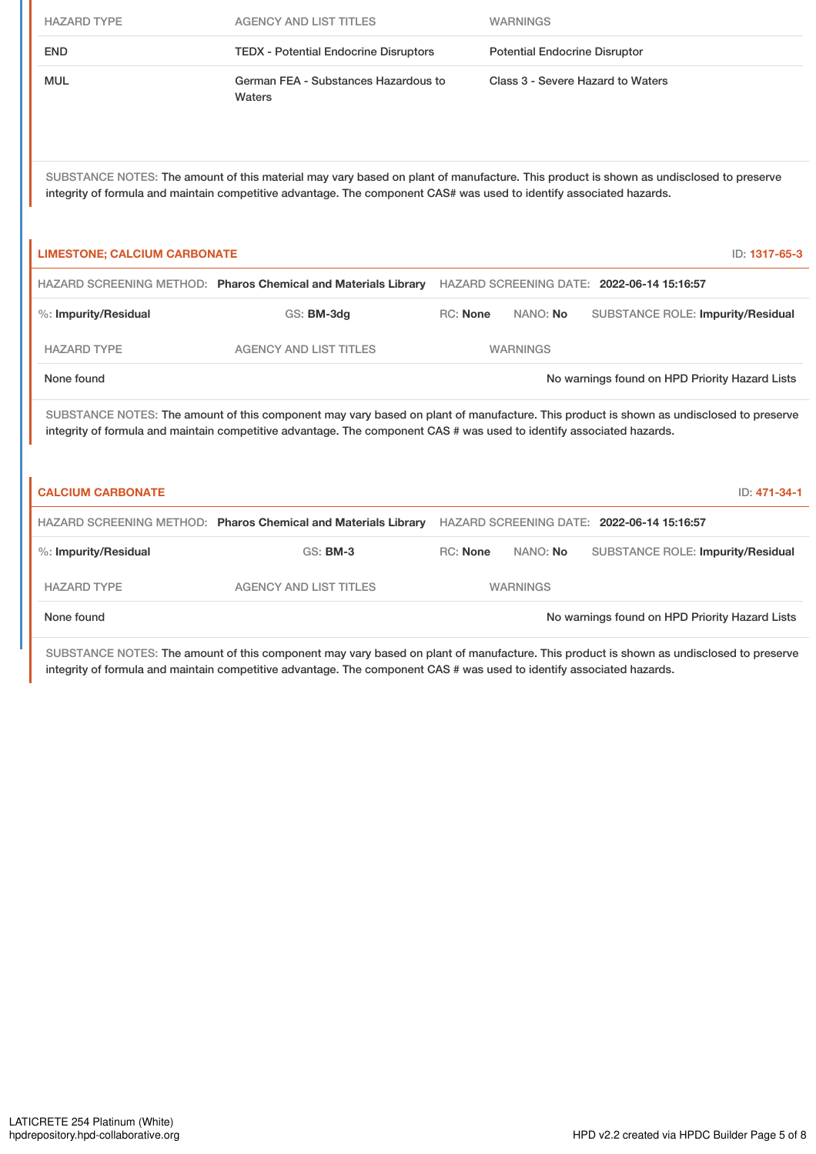| <b>HAZARD TYPE</b>                                                                                                                                                                                                                                              | <b>AGENCY AND LIST TITLES</b>                                                                             |                 | <b>WARNINGS</b>                      |                                                |               |
|-----------------------------------------------------------------------------------------------------------------------------------------------------------------------------------------------------------------------------------------------------------------|-----------------------------------------------------------------------------------------------------------|-----------------|--------------------------------------|------------------------------------------------|---------------|
| <b>END</b>                                                                                                                                                                                                                                                      | <b>TEDX - Potential Endocrine Disruptors</b>                                                              |                 | <b>Potential Endocrine Disruptor</b> |                                                |               |
| <b>MUL</b>                                                                                                                                                                                                                                                      | German FEA - Substances Hazardous to<br>Waters                                                            |                 | Class 3 - Severe Hazard to Waters    |                                                |               |
| SUBSTANCE NOTES: The amount of this material may vary based on plant of manufacture. This product is shown as undisclosed to preserve<br>integrity of formula and maintain competitive advantage. The component CAS# was used to identify associated hazards.   |                                                                                                           |                 |                                      |                                                |               |
| <b>LIMESTONE; CALCIUM CARBONATE</b>                                                                                                                                                                                                                             |                                                                                                           |                 |                                      |                                                | ID: 1317-65-3 |
|                                                                                                                                                                                                                                                                 | HAZARD SCREENING METHOD: Pharos Chemical and Materials Library HAZARD SCREENING DATE: 2022-06-14 15:16:57 |                 |                                      |                                                |               |
| %: Impurity/Residual                                                                                                                                                                                                                                            | GS: BM-3dg                                                                                                | <b>RC: None</b> | NANO: No                             | SUBSTANCE ROLE: Impurity/Residual              |               |
| <b>HAZARD TYPE</b>                                                                                                                                                                                                                                              | <b>AGENCY AND LIST TITLES</b>                                                                             |                 | <b>WARNINGS</b>                      |                                                |               |
| None found                                                                                                                                                                                                                                                      |                                                                                                           |                 |                                      | No warnings found on HPD Priority Hazard Lists |               |
| SUBSTANCE NOTES: The amount of this component may vary based on plant of manufacture. This product is shown as undisclosed to preserve<br>integrity of formula and maintain competitive advantage. The component CAS # was used to identify associated hazards. |                                                                                                           |                 |                                      |                                                |               |
| <b>CALCIUM CARBONATE</b>                                                                                                                                                                                                                                        |                                                                                                           |                 |                                      |                                                | ID: 471-34-1  |
|                                                                                                                                                                                                                                                                 | HAZARD SCREENING METHOD: Pharos Chemical and Materials Library HAZARD SCREENING DATE: 2022-06-14 15:16:57 |                 |                                      |                                                |               |
| %: Impurity/Residual                                                                                                                                                                                                                                            | <b>GS: BM-3</b>                                                                                           | <b>RC: None</b> | NANO: No                             | <b>SUBSTANCE ROLE: Impurity/Residual</b>       |               |
| <b>HAZARD TYPE</b>                                                                                                                                                                                                                                              | <b>AGENCY AND LIST TITLES</b>                                                                             |                 | <b>WARNINGS</b>                      |                                                |               |
| None found                                                                                                                                                                                                                                                      |                                                                                                           |                 |                                      | No warnings found on HPD Priority Hazard Lists |               |

SUBSTANCE NOTES: The amount of this component may vary based on plant of manufacture. This product is shown as undisclosed to preserve integrity of formula and maintain competitive advantage. The component CAS # was used to identify associated hazards.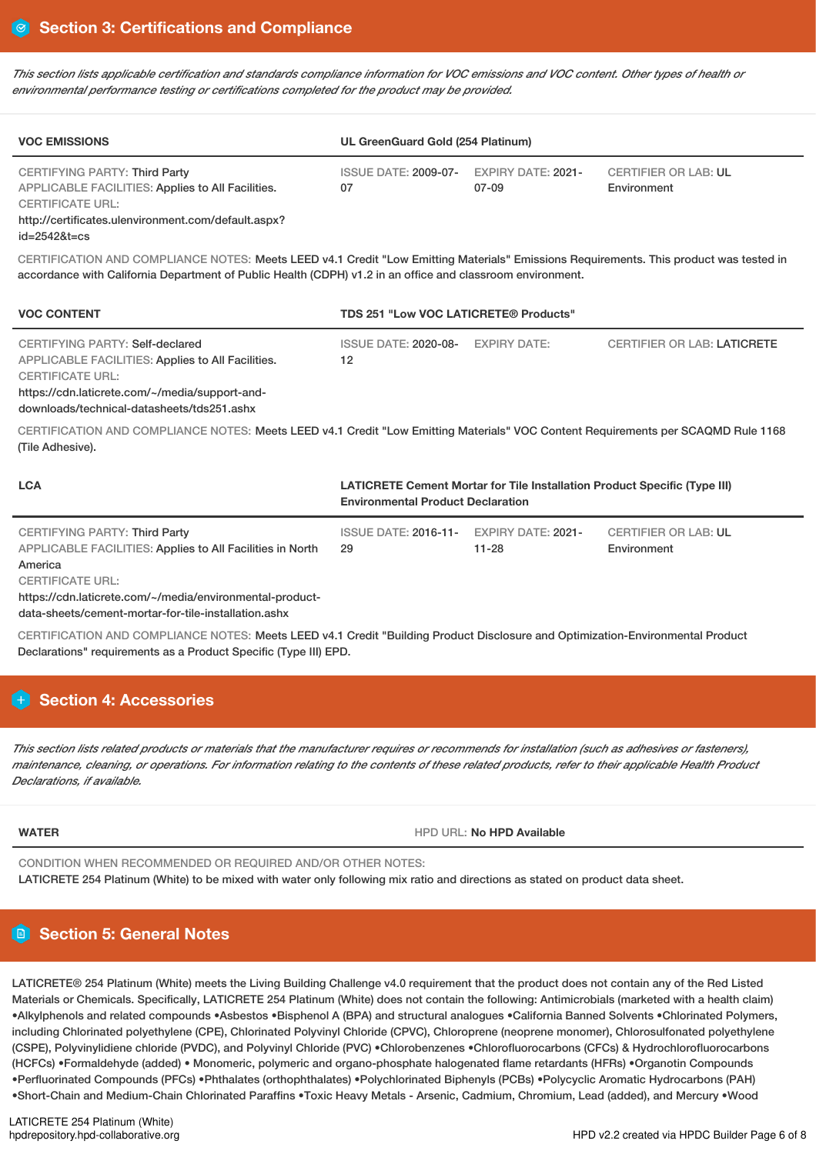This section lists applicable certification and standards compliance information for VOC emissions and VOC content. Other types of health or *environmental performance testing or certifications completed for the product may be provided.*

| <b>VOC EMISSIONS</b>                                                                                                                                                                                                                                 | UL GreenGuard Gold (254 Platinum)             |                     |                                            |  |  |
|------------------------------------------------------------------------------------------------------------------------------------------------------------------------------------------------------------------------------------------------------|-----------------------------------------------|---------------------|--------------------------------------------|--|--|
| CERTIFYING PARTY: Third Party<br>APPLICABLE FACILITIES: Applies to All Facilities.<br><b>CERTIFICATE URL:</b><br>http://certificates.ulenvironment.com/default.aspx?<br>$id = 25428t = cs$                                                           | ISSUE DATE: 2009-07- EXPIRY DATE: 2021-<br>07 | 07-09               | <b>CERTIFIER OR LAB: UL</b><br>Environment |  |  |
| CERTIFICATION AND COMPLIANCE NOTES: Meets LEED v4.1 Credit "Low Emitting Materials" Emissions Requirements. This product was tested in<br>accordance with California Department of Public Health (CDPH) v1.2 in an office and classroom environment. |                                               |                     |                                            |  |  |
| <b>VOC CONTENT</b>                                                                                                                                                                                                                                   | <b>TDS 251 "Low VOC LATICRETE® Products"</b>  |                     |                                            |  |  |
| CERTIFYING PARTY: Self-declared                                                                                                                                                                                                                      | ISSUE DATE: 2020-08-                          | <b>EXPIRY DATE:</b> | <b>CERTIFIER OR LAB: LATICRETE</b>         |  |  |

APPLICABLE FACILITIES: Applies to All Facilities. CERTIFICATE URL: https://cdn.laticrete.com/~/media/support-and-

downloads/technical-datasheets/tds251.ashx

CERTIFICATION AND COMPLIANCE NOTES: Meets LEED v4.1 Credit "Low Emitting Materials" VOC Content Requirements per SCAQMD Rule 1168 (Tile Adhesive).

12

| <b>LCA</b>                                                                                 | <b>LATICRETE Cement Mortar for Tile Installation Product Specific (Type III)</b><br><b>Environmental Product Declaration</b> |                                 |                                            |
|--------------------------------------------------------------------------------------------|------------------------------------------------------------------------------------------------------------------------------|---------------------------------|--------------------------------------------|
| CERTIFYING PARTY: Third Party<br>APPLICABLE FACILITIES: Applies to All Facilities in North | <b>ISSUE DATE: 2016-11-</b><br>29                                                                                            | EXPIRY DATE: 2021-<br>$11 - 28$ | <b>CERTIFIER OR LAB: UL</b><br>Environment |
| America                                                                                    |                                                                                                                              |                                 |                                            |
| <b>CERTIFICATE URL:</b>                                                                    |                                                                                                                              |                                 |                                            |
| https://cdn.laticrete.com/~/media/environmental-product-                                   |                                                                                                                              |                                 |                                            |

data-sheets/cement-mortar-for-tile-installation.ashx

CERTIFICATION AND COMPLIANCE NOTES: Meets LEED v4.1 Credit "Building Product Disclosure and Optimization-Environmental Product Declarations" requirements as a Product Specific (Type III) EPD.

# **Section 4: Accessories**

This section lists related products or materials that the manufacturer requires or recommends for installation (such as adhesives or fasteners), maintenance, cleaning, or operations. For information relating to the contents of these related products, refer to their applicable Health Product *Declarations, if available.*

**WATER** HPD URL: **No HPD Available**

CONDITION WHEN RECOMMENDED OR REQUIRED AND/OR OTHER NOTES:

LATICRETE 254 Platinum (White) to be mixed with water only following mix ratio and directions as stated on product data sheet.

### ÐI **Section 5: General Notes**

LATICRETE® 254 Platinum (White) meets the Living Building Challenge v4.0 requirement that the product does not contain any of the Red Listed Materials or Chemicals. Specifically, LATICRETE 254 Platinum (White) does not contain the following: Antimicrobials (marketed with a health claim) •Alkylphenols and related compounds •Asbestos •Bisphenol A (BPA) and structural analogues •California Banned Solvents •Chlorinated Polymers, including Chlorinated polyethylene (CPE), Chlorinated Polyvinyl Chloride (CPVC), Chloroprene (neoprene monomer), Chlorosulfonated polyethylene (CSPE), Polyvinylidiene chloride (PVDC), and Polyvinyl Chloride (PVC) •Chlorobenzenes •Chlorofluorocarbons (CFCs) & Hydrochlorofluorocarbons (HCFCs) •Formaldehyde (added) • Monomeric, polymeric and organo-phosphate halogenated flame retardants (HFRs) •Organotin Compounds •Perfluorinated Compounds (PFCs) •Phthalates (orthophthalates) •Polychlorinated Biphenyls (PCBs) •Polycyclic Aromatic Hydrocarbons (PAH) •Short-Chain and Medium-Chain Chlorinated Paraffins •Toxic Heavy Metals - Arsenic, Cadmium, Chromium, Lead (added), and Mercury •Wood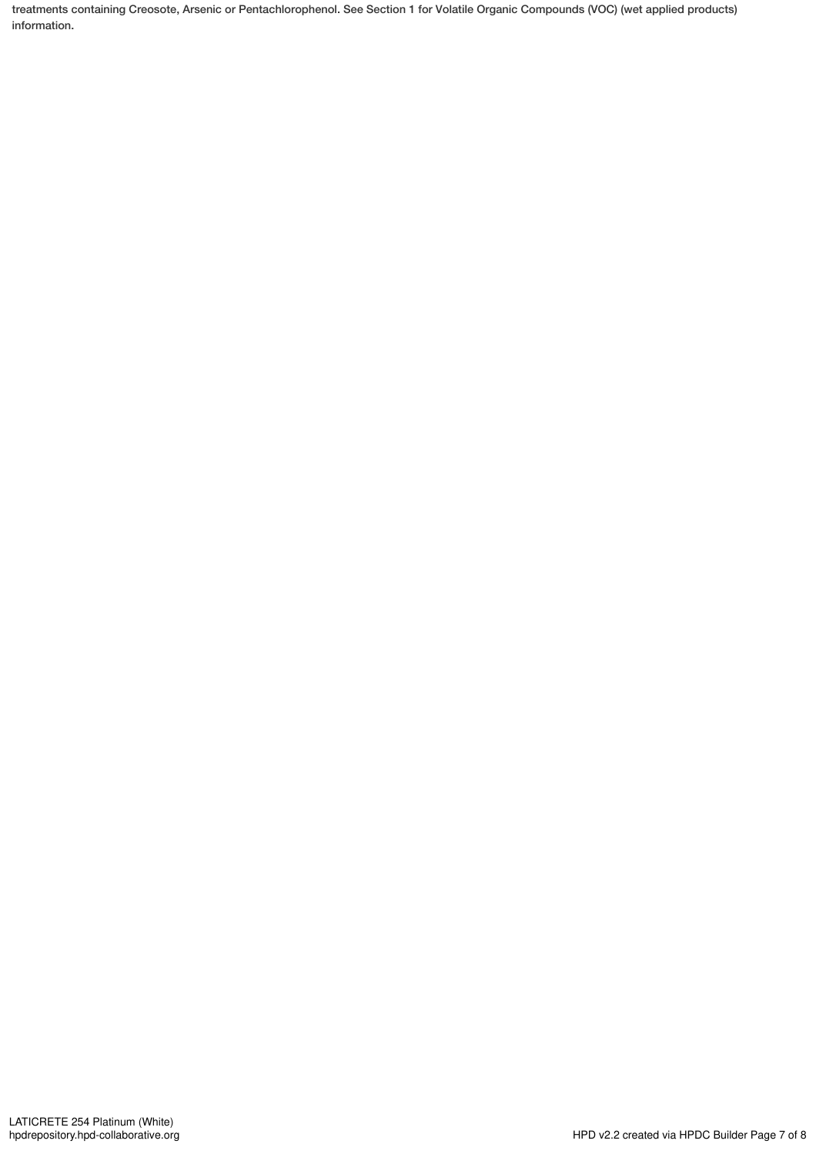treatments containing Creosote, Arsenic or Pentachlorophenol. See Section 1 for Volatile Organic Compounds (VOC) (wet applied products) information.